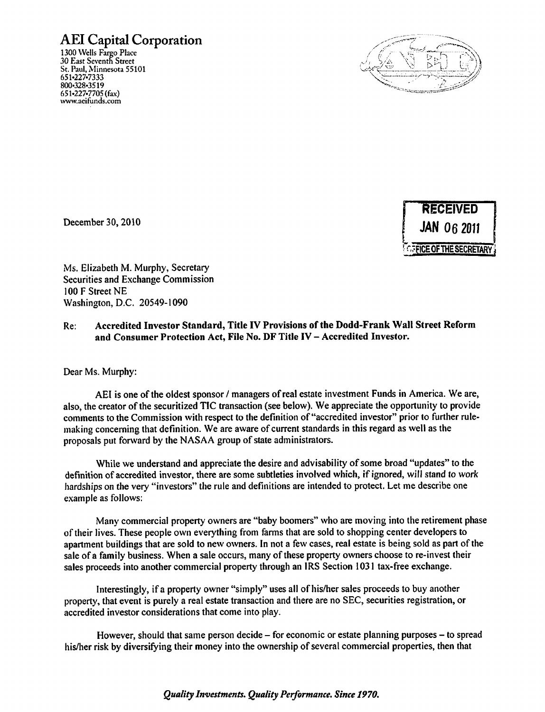## *AEI Capital Corporation*

1300 Wells Fargo Place **30** East Seventh Street St. Paul, Minnesota 55101 651-227-7333 800-328-3519 651^227.7705(fax) www.aeifunds.com





Ms. Elizabeth M. Murphy, Secretary Securities and Exchange Commission

100 F Street NE Washington, D.C. 20549-1090

## Re: *Accredited Investor Standard, Title IV Provisions ofthe Dodd-Frank Wall Street Reform*  and Consumer Protection Act, File No. DF Title IV - Accredited Investor.

Dear Ms. Murphy:

AEI is one of the oldest sponsor / managers of real estate investment Funds in America. We are, also, the creator of the securitized TIC transaction(see below). We appreciate the opportunity to provide comments to the Commission with respect to the definition of "accredited investor" prior to further rule making concerning that definition. We are aware of current standards in this regard as well as the proposals put forward by the NASAA group of state administrators.

While we understand and appreciate the desire and advisability of some broad "updates" to the definition of accredited investor, there are some subtleties involved which, if ignored, will stand to work hardships on the very "investors" the rule and definitions are intended to protect. Let me describe one example as follows:

Many commercial property owners are "baby boomers" who are moving into the retirement phase oftheir lives.These people own everything from farms that are sold to shopping center developers to apartment buildings that are sold to new owners. In not a few cases, real estate is being sold as part of the sale of a family business. When a sale occurs, many of these property owners choose to re-invest their sales proceeds into another commercial property through an IRS Section 1031 tax-free exchange.

Interestingly, if a property owner "simply" uses *all* of his/her sales proceeds to buy another property, that event is purely a real estate transaction and there are no SEC, securities registration, or accredited investor considerations that come into play.

However, should that same person decide  $-$  for economic or estate planning purposes  $-$  to spread his/her risk by diversifying their money into the ownershipofseveral commercial properties, then that

**Quality Investments. Quality Performance. Since 1970.**